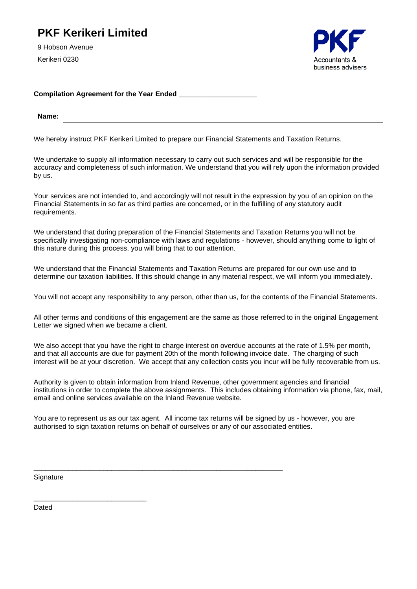## **PKF Kerikeri Limited**

9 Hobson Avenue Kerikeri 0230



## **Compilation Agreement for the Year Ended \_\_\_\_\_\_\_\_\_\_\_\_\_\_\_\_\_\_\_\_**

**Name:**

We hereby instruct PKF Kerikeri Limited to prepare our Financial Statements and Taxation Returns.

We undertake to supply all information necessary to carry out such services and will be responsible for the accuracy and completeness of such information. We understand that you will rely upon the information provided by us.

Your services are not intended to, and accordingly will not result in the expression by you of an opinion on the Financial Statements in so far as third parties are concerned, or in the fulfilling of any statutory audit requirements.

We understand that during preparation of the Financial Statements and Taxation Returns you will not be specifically investigating non-compliance with laws and regulations - however, should anything come to light of this nature during this process, you will bring that to our attention.

We understand that the Financial Statements and Taxation Returns are prepared for our own use and to determine our taxation liabilities. If this should change in any material respect, we will inform you immediately.

You will not accept any responsibility to any person, other than us, for the contents of the Financial Statements.

All other terms and conditions of this engagement are the same as those referred to in the original Engagement Letter we signed when we became a client.

We also accept that you have the right to charge interest on overdue accounts at the rate of 1.5% per month, and that all accounts are due for payment 20th of the month following invoice date. The charging of such interest will be at your discretion. We accept that any collection costs you incur will be fully recoverable from us.

Authority is given to obtain information from Inland Revenue, other government agencies and financial institutions in order to complete the above assignments. This includes obtaining information via phone, fax, mail, email and online services available on the Inland Revenue website.

You are to represent us as our tax agent. All income tax returns will be signed by us - however, you are authorised to sign taxation returns on behalf of ourselves or any of our associated entities.

\_\_\_\_\_\_\_\_\_\_\_\_\_\_\_\_\_\_\_\_\_\_\_\_\_\_\_\_\_\_\_\_\_\_\_\_\_\_\_\_\_\_\_\_\_\_\_\_\_\_\_\_\_\_\_\_\_\_\_\_\_\_\_\_

**Signature** 

\_\_\_\_\_\_\_\_\_\_\_\_\_\_\_\_\_\_\_\_\_\_\_\_\_\_\_\_\_

Dated